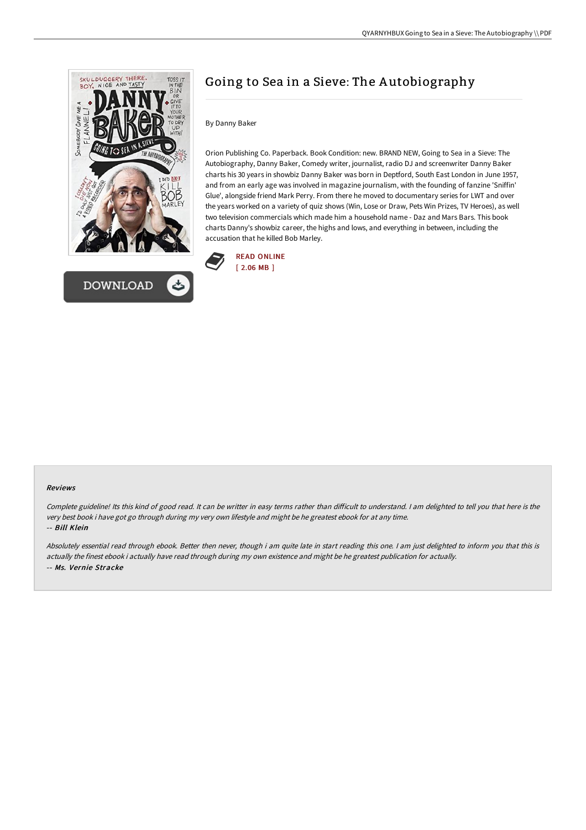

# Going to Sea in a Sieve: The A utobiography

## By Danny Baker

Orion Publishing Co. Paperback. Book Condition: new. BRAND NEW, Going to Sea in a Sieve: The Autobiography, Danny Baker, Comedy writer, journalist, radio DJ and screenwriter Danny Baker charts his 30 years in showbiz Danny Baker was born in Deptford, South East London in June 1957, and from an early age was involved in magazine journalism, with the founding of fanzine 'Sniffin' Glue', alongside friend Mark Perry. From there he moved to documentary series for LWT and over the years worked on a variety of quiz shows (Win, Lose or Draw, Pets Win Prizes, TV Heroes), as well two television commercials which made him a household name - Daz and Mars Bars. This book charts Danny's showbiz career, the highs and lows, and everything in between, including the accusation that he killed Bob Marley.



#### Reviews

Complete guideline! Its this kind of good read. It can be writter in easy terms rather than diFicult to understand. <sup>I</sup> am delighted to tell you that here is the very best book i have got go through during my very own lifestyle and might be he greatest ebook for at any time. -- Bill Klein

Absolutely essential read through ebook. Better then never, though i am quite late in start reading this one. <sup>I</sup> am just delighted to inform you that this is actually the finest ebook i actually have read through during my own existence and might be he greatest publication for actually. -- Ms. Vernie Stracke